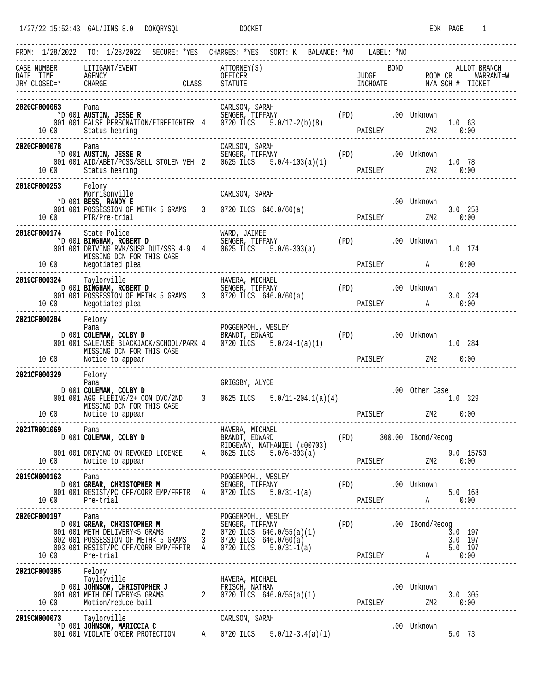|                                                     |                                                                                                                             | FROM: 1/28/2022 TO: 1/28/2022 SECURE: *YES CHARGES: *YES SORT: K BALANCE: *NO LABEL: *NO                                                                                                                                                                                                        |             |                                               |
|-----------------------------------------------------|-----------------------------------------------------------------------------------------------------------------------------|-------------------------------------------------------------------------------------------------------------------------------------------------------------------------------------------------------------------------------------------------------------------------------------------------|-------------|-----------------------------------------------|
| CASE NUMBER LITIGANT/EVENT                          |                                                                                                                             | --------------------------------------<br>ATTORNEY(S)<br>CASE NUMBER LITIGANT/EVENT ATTORNEY(S) BOND ALLOT BRANCH<br>DATE TIME AGENCY OFFICER UNE UNIVER BOOM CR WARRANT=W<br>JUDGE ROOM CR WARRANT=W<br>TRY CLOSED=* CHARGE CLASS STATUTE INCHOATE M/A SCH # TICKET<br>----------------------- | <b>BOND</b> | ALLOT BRANCH                                  |
| 2020CF000063                                        | 10:00 Status hearing                                                                                                        |                                                                                                                                                                                                                                                                                                 |             |                                               |
| 2020CF000078 Pana                                   | 10:00 Status hearing                                                                                                        | 078 Pana CARLSON, SARAH<br>*D 001 <b>AUSTIN, JESSE R</b> SENGER, TIFFANY (PD) .00 Unknown<br>001 001 AID/ABET/POSS/SELL STOLEN VEH 2 0625 ILCS 5.0/4-103(a)(1) PAISLEY ZM2 0:00                                                                                                                 |             |                                               |
| 2018CF000253 Felony<br>---------------------------- | Morrisonville<br>*D 001 BESS, RANDY E<br>001 001 POSSESSION OF METH< 5 GRAMS 3 0720 ILCS 646.0/60(a)<br>10:00 PTR/Pre-trial | CARLSON, SARAH                                                                                                                                                                                                                                                                                  | .00 Unknown | $3.0$ 253                                     |
| 2018CF000174 State Police                           | MISSING DCN FOR THIS CASE<br>10:00 Negotiated plea                                                                          |                                                                                                                                                                                                                                                                                                 |             | 1.0 174<br>PAISLEY A 0:00                     |
|                                                     |                                                                                                                             | 2019CF000324 Taylorville HAVERA, MICHAEL<br>D 001 BINGHAM, ROBERT D SENGER, TIFFANY (PD) .00 Unknown<br>001 001 POSSESSION OF METH< 5 GRAMS 3 0720 ILCS 646.0/60(a) PAISLEY A 0:00<br>PAISLEY A 0:00                                                                                            |             |                                               |
| 2021CF000284 Felony                                 | MISSING DCN FOR THIS CASE<br>10:00 Notice to appear                                                                         | Pana POGGENPOHL, WESLEY (PD) 001 <b>COLEMAN, COLBY D</b><br>D 001 <b>COLEMAN, COLBY D</b> BRANDT, EDWARD (PD) 001 SALE/USE BLACKJACK/SCHOOL/PARK 4 0720 ILCS 5.0/24-1(a)(1) (PD) 001 SALE/USE BLACKJACK/SCHOOL/PARK 4 0720 ILCS 5.0/24-1(a)                                                     |             | 1.0 284<br>PAISLEY ZM2 0:00                   |
| 2021CF000329 Felony                                 | Pana<br>D 001 COLEMAN, COLBY D<br>MISSING DCN FOR THIS CASE<br>10:00 Notice to appear                                       | GRIGSBY, ALYCE<br>D 001 <b>COLEMAN, COLBY D</b><br>001 001 AGG FLEEING/2+ CON DVC/2ND 3 0625 ILCS 5.0/11-204.1(a)(4)                                                                                                                                                                            |             | .00 Other Case<br>1.0 329<br>PAISLEY ZM2 0:00 |
| 2021TR001069                                        | Pana<br>D 001 COLEMAN, COLBY D<br>001 001 DRIVING ON REVOKED LICENSE $A$ 0625 ILCS 5.0/6-303(a)                             | HAVERA, MICHAEL<br>BRANDT, EDWARD (PD) 300.00 IBond/Recog<br>RIDGEWAY, NATHANIEL (#00703)                                                                                                                                                                                                       |             |                                               |
|                                                     |                                                                                                                             |                                                                                                                                                                                                                                                                                                 |             |                                               |
| 2020CF000197 Pana                                   |                                                                                                                             | <b>OCFOOO197</b><br>DOO1 GREAR, CHRISTOPHER M<br>DOO1 OO1 METH DELIVERY<5 GRAMS<br>001 OO1 METH DELIVERY<5 GRAMS<br>002 OO1 POSSESSION OF METH<5 GRAMS<br>003 OO1 RESIST/PC OFF/CORR EMP/FRFTR A 0720 ILCS 5.0/31-1(a)<br>10:00 Pre-trial<br>PAIS                                               |             |                                               |
| 2021CF000305 Felony<br>Taylorville                  |                                                                                                                             |                                                                                                                                                                                                                                                                                                 |             |                                               |
|                                                     | 2019CM000073 Taylorville CARLSON, SARAH *D 001 JOHNSON, MARICCIA C                                                          | 001 001 VIOLATE ORDER PROTECTION A 0720 ILCS 5.0/12-3.4(a)(1) 6.0 73                                                                                                                                                                                                                            |             | .00 Unknown                                   |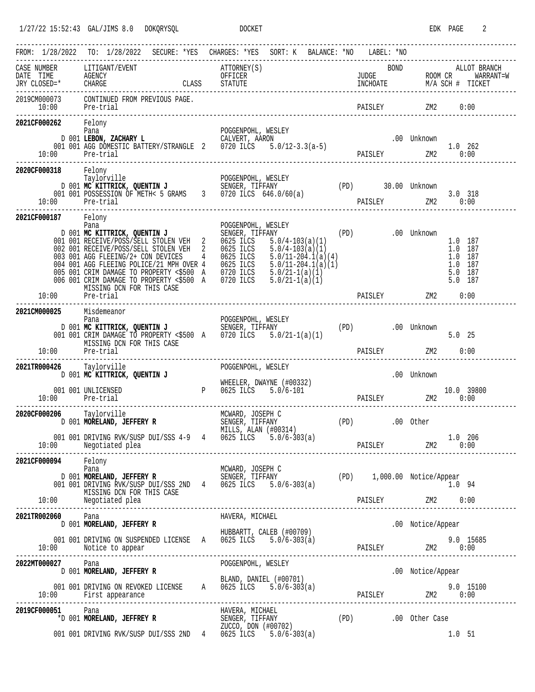1/27/22 15:52:43 GAL/JIMS 8.0 DOKQRYSQL DOCKET EDK PAGE 2

|                                                       | FROM: 1/28/2022 TO: 1/28/2022                                                                                                                                                                                                                                                                                                                                                                                                                                                                      | SECURE: *YES CHARGES: *YES SORT: K BALANCE: *NO LABEL: *NO                                                                                                                                                                                                                                                                                                                                         |                |                                                                                                           |
|-------------------------------------------------------|----------------------------------------------------------------------------------------------------------------------------------------------------------------------------------------------------------------------------------------------------------------------------------------------------------------------------------------------------------------------------------------------------------------------------------------------------------------------------------------------------|----------------------------------------------------------------------------------------------------------------------------------------------------------------------------------------------------------------------------------------------------------------------------------------------------------------------------------------------------------------------------------------------------|----------------|-----------------------------------------------------------------------------------------------------------|
|                                                       | $\begin{tabular}{lllllllllll} \multicolumn{2}{l}{{\small\mbox{\small\sc CASE}}}&\multicolumn{2}{l}{\small\mbox{\small\sc DATE}}&\multicolumn{2}{l}{\small\mbox{\small\sc DATE}}&\multicolumn{2}{l}{\small\mbox{\small\sc DATE}}&\multicolumn{2}{l}{\small\mbox{\small\sc DATE}}&\multicolumn{2}{l}{\small\mbox{\small\sc DATE}}&\multicolumn{2}{l}{\small\mbox{\small\sc DATE}}&\multicolumn{2}{l}{\small\mbox{\small\sc DATE}}&\multicolumn{2}{l}{\small\mbox{\small\sc DATE}}&\multicolumn{2}{l$ | ATTORNEY(S) BOND ALLOT BRANCH<br>OFFICER OF STATUTE THE TIME OF STATUTE SERVER THE MARK OF STATUTE SERVER THE MARK ON THE MASS STATUTE SERVER THE MARK OF STATUTE SERVER THE MARK OF STATUTE SERVER THE MARK OF STATUTE SERVER TH                                                                                                                                                                  |                |                                                                                                           |
|                                                       |                                                                                                                                                                                                                                                                                                                                                                                                                                                                                                    |                                                                                                                                                                                                                                                                                                                                                                                                    |                | $ZM2$ 0:00                                                                                                |
| 2021CF000262 Felony<br>10:00 Pre-trial                | Pana                                                                                                                                                                                                                                                                                                                                                                                                                                                                                               | POGGENPOHL, WESLEY<br>Pana<br>D 001 LEBON, ZACHARY L<br>001 001 AGG DOMESTIC BATTERY/STRANGLE 2 0720 ILCS 5.0/12-3.3(a-5)                                                                                                                                                                                                                                                                          |                | $\begin{tabular}{cc} 00&Unknown & \\ \hline \texttt{PARSLEY} & \texttt{ZM2} & 1.0 & 262 \\ \end{tabular}$ |
| 2020CF000318 Felony<br>Taylorville<br>10:00 Pre-trial |                                                                                                                                                                                                                                                                                                                                                                                                                                                                                                    | Taylorville<br>Taylorville POGGENPOHL, WESLEY<br>D 001 <b>MC KITTRICK, QUENTIN J</b> SENGER, TIFFANY (PD) 30.00 Unknown<br>001 001 POSSESSION OF METH< 5 GRAMS 3 0720 ILCS 646.0/60(a)                                                                                                                                                                                                             |                | 3.0 318<br>PAISLEY 2M2 0:00                                                                               |
| 2021CF000187 Felony                                   | Pana<br>MISSING DCN FOR THIS CASE<br>10:00 Pre-trial                                                                                                                                                                                                                                                                                                                                                                                                                                               | POGGENPOHL, WESLEY<br>Pana POGGENPOHL, WESLEY (PD) .00 Unknown<br>001 001 RECEIVE/POSS/SELL STOLEN VEH 2 0625 ILCS 5.0/4-103(a)(1) .00 Unknown<br>002 001 RECEIVE/POSS/SELL STOLEN VEH 2 0625 ILCS 5.0/4-103(a)(1)<br>003 001 AGG FLEEING/2+ CON DEVICES<br>005 001 CRIM DAMAGE TO PROPERTY <\$500 A 0720 ILCS 5.0/21-1(a)(1)<br>006 001 CRIM DAMAGE TO PROPERTY <\$500 A 0720 ILCS 5.0/21-1(a)(1) | PAISLEY        | 1.0 187<br>1.0 187<br>1.0 187<br>1.0 187<br>5.0 187<br>5.0 187<br>$ZM2$ 0:00                              |
| 2021CM000025 Misdemeanor                              | MISSING DCN FOR THIS CASE<br>10:00 Pre-trial                                                                                                                                                                                                                                                                                                                                                                                                                                                       | Pana POGGENPOHL, WESLEY (PD) 001 <b>MC KITTRICK, QUENTIN J</b><br>D 001 <b>MC KITTRICK, QUENTIN J</b> SENGER, TIFFANY (PD) .00 Unknown<br>001 001 CRIM DAMAGE TO PROPERTY <\$500 A 0720 ILCS 5.0/21-1(a)(1)                                                                                                                                                                                        |                | $5.0$ 25<br>PAISLEY 2M2 0:00                                                                              |
| 2021TR000426 Taylorville                              | D 001 MC KITTRICK, QUENTIN J<br>001 001 UNLICENSED                                                                                                                                                                                                                                                                                                                                                                                                                                                 | POGGENPOHL, WESLEY<br>WHEELER, DWAYNE (#00332)<br>WHEELER, DWAYNE (#00332<br>P 0625 ILCS 5.0/6-101                                                                                                                                                                                                                                                                                                 |                | .00 Unknown<br>10.0 39800                                                                                 |
| 2020CF000206 Taylorville                              | 10:00 Pre-trial<br>----------------------                                                                                                                                                                                                                                                                                                                                                                                                                                                          | MCWARD, JOSEPH C<br>MCWARD, JOSEPH C<br>SENGER, TIFFANY                                                                                                                                                                                                                                                                                                                                            |                | PAISLEY ZM2 0:00                                                                                          |
|                                                       | 0 Taylorville<br>D 001 <b>MORELAND, JEFFERY R</b><br>2010 2010 REPORT DESCRIPTION AND LOT                                                                                                                                                                                                                                                                                                                                                                                                          | MILLS, ALAN (#00314)<br>001 001 DRIVING RVK/SUSP DUI/SSS 4-9 4 0625 ILCS 5.0/6-303(a)                                                                                                                                                                                                                                                                                                              | (PD) .00 Other | 1.0 206<br>PAISLEY ZM2 0:00                                                                               |
| 2021CF000094 Felony<br>Pana                           | MISSING DCN FOR THIS CASE                                                                                                                                                                                                                                                                                                                                                                                                                                                                          | Pana<br>D 001 <b>MORELAND, JEFFERY R</b> SENGER, TIFFANY (PD) 1,000.00 Notice/Appear<br>001 001 DRIVING RVK/SUSP DUI/SSS 2ND 4 0625 ILCS 5.0/6-303(a) 1.000.00 Notice/Appear                                                                                                                                                                                                                       |                | 1.0 94                                                                                                    |
|                                                       | 2021TR002060 Pana<br>D 001 MORELAND, JEFFERY R                                                                                                                                                                                                                                                                                                                                                                                                                                                     | HAVERA, MICHAEL                                                                                                                                                                                                                                                                                                                                                                                    |                | .00 Notice/Appear                                                                                         |
|                                                       |                                                                                                                                                                                                                                                                                                                                                                                                                                                                                                    | HUBBARTT, CALEB (#00709)<br>001 001 DRIVING ON SUSPENDED LICENSE A 0625 ILCS 5.0/6-303(a)                                                                                                                                                                                                                                                                                                          |                |                                                                                                           |
| 2022MT000027                                          | Pana<br>D 001 MORELAND, JEFFERY R                                                                                                                                                                                                                                                                                                                                                                                                                                                                  | POGGENPOHL, WESLEY                                                                                                                                                                                                                                                                                                                                                                                 |                | .00 Notice/Appear                                                                                         |
|                                                       | 001 001 DRIVING ON REVOKED LICENSE A $\overline{0625}$ ILCS $\overline{5.0/6}$ -303(a)                                                                                                                                                                                                                                                                                                                                                                                                             | BLAND, DANIEL (#00701)                                                                                                                                                                                                                                                                                                                                                                             |                |                                                                                                           |
| 2019CF000051 Pana                                     |                                                                                                                                                                                                                                                                                                                                                                                                                                                                                                    | HAVERA, MICHAEL<br>951 Pana Pana HAVERA, MICHAEL (PD) 2011<br>*D 001 <b>MORELAND, JEFFREY R</b> SENGER, TIFFANY (PD) .00 Other Case<br>2000 001 DRIVING RVK/SUSP DUI/SSS 2ND 4 0625 ILCS 5.0/6-303(a)                                                                                                                                                                                              |                |                                                                                                           |
|                                                       |                                                                                                                                                                                                                                                                                                                                                                                                                                                                                                    |                                                                                                                                                                                                                                                                                                                                                                                                    |                | 1.0 51                                                                                                    |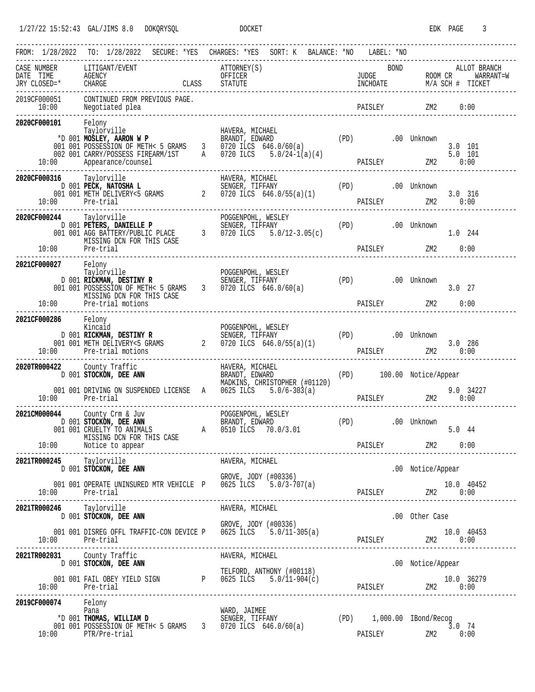|                                                |                                                                                                                                                 | FROM: 1/28/2022 TO: 1/28/2022 SECURE: *YES CHARGES: *YES SORT: K BALANCE: *NO LABEL: *NO<br>------------------------------------                                                                                                                               |                                      |                                                                 |
|------------------------------------------------|-------------------------------------------------------------------------------------------------------------------------------------------------|----------------------------------------------------------------------------------------------------------------------------------------------------------------------------------------------------------------------------------------------------------------|--------------------------------------|-----------------------------------------------------------------|
| CASE NUMBER LITIGANT/EVENT                     |                                                                                                                                                 | ATTORNEY(S)                                                                                                                                                                                                                                                    | <b>BOND</b>                          | ALLOT BRANCH                                                    |
|                                                |                                                                                                                                                 |                                                                                                                                                                                                                                                                | PAISLEY                              | ZM2<br>0:00                                                     |
| 2020CF000101                                   | Felony<br>Taylorville<br>10:00 Appearance/counsel                                                                                               | HAVERA, MICHAEL<br>Taylorville HAVERA, MICHAEL<br>*D 001 <b>MOSLEY, AARON W P</b> BRANDT, EDWARD (PD) .00 Unknown<br>001 001 POSSESSION OF METH< 5 GRAMS 3 0720 ILCS 646.0/60(a)<br>002 001 CARRY/POSSESS FIREARM/1ST A 0720 ILCS 5.0/24-1(a)(4)               |                                      | $3.0$ 101                                                       |
| 2020CF000316 Taylorville<br>10:00 Pre-trial    |                                                                                                                                                 |                                                                                                                                                                                                                                                                |                                      | 3.0 316<br>PAISLEY 2M2 0:00                                     |
| 2020CF000244 Taylorville<br>$10:00$ Pre-trial  | MISSING DCN FOR THIS CASE                                                                                                                       |                                                                                                                                                                                                                                                                |                                      | 1.0 244                                                         |
| 2021CF000027 Felony                            | MISSING DCN FOR THIS CASE<br>10:00 Pre-trial motions                                                                                            | Taylorville<br>D 001 RICKMAN, DESTINY R<br>D 001 RICKMAN, DESTINY R<br>D 001 DOSSESSION OF METH< 5 GRAMS<br>D 001 DOSSESSION OF METH< 5 GRAMS<br>3 0720 ILCS 646.0/60(a)<br>O 101 POSSESSION OF METH< 5 GRAMS<br>2010 1020 ILCS 646.0/60(a)                    |                                      | $3.0$ 27<br>PAISLEY ZM2 0:00                                    |
| 2021CF000286 Felony<br>Kincaid                 | 10:00 Pre-trial motions                                                                                                                         | Example of the control of the control of the control of the control of the control of the control of the control of the control of the control of the control of the control of the control of the control of the control of t                                 |                                      | 286 PAISLEY 2M2 3.0 286<br>____________________________         |
| 2020TR000422 County Traffic<br>10:00 Pre-trial | 22 County Traffic<br>D 001 STOCKON, DEE ANN BRANDT, EDWARD<br>PRANDT, EDWARD<br>001 001 DRIVING ON SUSPENDED LICENSE A 0625 ILCS $5.0/6-303(a)$ | MADKINS, CHRISTOPHER (#01120)                                                                                                                                                                                                                                  |                                      | (PD) 100.00 Notice/Appear<br>$20.0$ 34227<br>PAISLEY 2M2 $0:00$ |
|                                                | ----------------------<br>MISSING DCN FOR THIS CASE<br>10:00 Notice to appear                                                                   | ----------------------------<br>and the contract of the contract of the contract of the contract of the contract of the contract of the contract of the contract of the contract of the contract of the contract of the contract of the contract of the contra | (PD)                                 | .00 Unknown<br>5.044<br>0:00                                    |
| 2021TR000245 Taylorville<br>10:00 Pre-trial    | D 001 STOCKON, DEE ANN<br>001 001 OPERATE UNINSURED MTR VEHICLE P 0625 ILCS 5.0/3-707(a)                                                        | HAVERA, MICHAEL<br>GROVE, JODY (#00336)                                                                                                                                                                                                                        |                                      | .00 Notice/Appear                                               |
| 2021TR000246 Taylorville                       | D 001 STOCKON, DEE ANN                                                                                                                          | HAVERA, MICHAEL                                                                                                                                                                                                                                                |                                      | .00 Other Case                                                  |
| 10:00 Pre-trial                                | 001 001 DISREG OFFL TRAFFIC-CON DEVICE P 0625 ILCS 5.0/11-305(a)                                                                                | GROVE, JODY (#00336)                                                                                                                                                                                                                                           |                                      |                                                                 |
| 2021TR002031 County Traffic                    | D 001 STOCKON, DEE ANN                                                                                                                          | HAVERA, MICHAEL                                                                                                                                                                                                                                                |                                      | .00 Notice/Appear                                               |
| 10:00 Pre-trial                                | 001 001 FAIL OBEY YIELD SIGN P 0625 ILCS $5.0/11-904(c)$                                                                                        | TELFORD, ANTHONY (#00118)                                                                                                                                                                                                                                      |                                      |                                                                 |
| 2019CF000074 Felony                            | Pana<br>Pana<br>*D 001 <b>THOMAS, WILLIAM D</b><br>001 001 POSSESSION OF METH< 5 GRAMS 3 0720 ILCS 646.0/60(a)<br>10:00 PTR/Pre-trial           | WARD, JAIMEE                                                                                                                                                                                                                                                   | (PD) 1,000.00 IBond/Recog<br>PAISLEY | $3.0$ 74<br>ZM2 0:00                                            |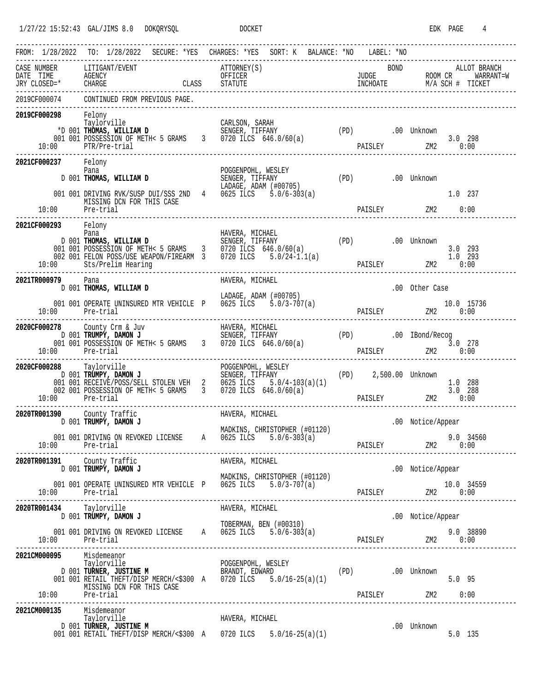| FROM: 1/28/2022 TO: 1/28/2022 SECURE: *YES CHARGES: *YES SORT: K BALANCE: *NO LABEL: *NO                                                                                                                                                                                                                                  |                            |                               |                       |  |                                                                                                                                                                                                                                                                                                                                                                                          |  |                               |                  |             |                                                    |                    |              |
|---------------------------------------------------------------------------------------------------------------------------------------------------------------------------------------------------------------------------------------------------------------------------------------------------------------------------|----------------------------|-------------------------------|-----------------------|--|------------------------------------------------------------------------------------------------------------------------------------------------------------------------------------------------------------------------------------------------------------------------------------------------------------------------------------------------------------------------------------------|--|-------------------------------|------------------|-------------|----------------------------------------------------|--------------------|--------------|
| $\begin{minipage}{0.9\linewidth} CASE & NUMBER & LITIGANT/EVENT \end{minipage}$<br>CASE NUMBER LITIGANT/EVENT ATTORNEY(S) BOND ALLOT BRANCH<br>DATE TIME AGENCY OFFICER UNCHOATE TO NOM CR WARRANT=W<br>JUDGE ROOM CR WARRANT=W<br>TRY CLOSED=* CHARGE CLASS STATUTE INCHOATE M/A SCH # TICKET<br>----------------------- |                            |                               |                       |  | ATTORNEY(S)                                                                                                                                                                                                                                                                                                                                                                              |  |                               |                  | <b>BOND</b> |                                                    |                    | ALLOT BRANCH |
| 2019CF000074                                                                                                                                                                                                                                                                                                              |                            | CONTINUED FROM PREVIOUS PAGE. |                       |  |                                                                                                                                                                                                                                                                                                                                                                                          |  |                               |                  |             |                                                    |                    |              |
| 2019CF000298 Felony<br>Taylorville<br>10:00 PTR/Pre-trial                                                                                                                                                                                                                                                                 |                            |                               |                       |  |                                                                                                                                                                                                                                                                                                                                                                                          |  |                               |                  |             | 3.0 298<br>PAISLEY 2M2 0:00                        |                    |              |
| 2021CF000237 Felony<br>Pana                                                                                                                                                                                                                                                                                               |                            | MISSING DCN FOR THIS CASE     |                       |  | $\begin{array}{ccc}\n\text{Pana} & \text{FUGBINCDI} & \text{NLOI} \\ \text{Pana} & \text{SENGER, TIFFANY} \\ \text{D 001 THOMAS, WILLIAM D} & \text{SENGER, TIFFANY} \\ \text{LADAGE, ADAM } (\#00705) & \text{SINGEN} & \text{SINGER} \\ \text{SIMGEN} & \text{SINGER} & \text{SINGER} & \text{SINGER} \\ \end{array}$<br>001 001 DRIVING RVK/SUSP DUI/SSS 2ND 4 0625 ILCS 5.0/6-303(a) |  |                               | (PD) .00 Unknown |             |                                                    | 1.0 237            |              |
|                                                                                                                                                                                                                                                                                                                           |                            |                               |                       |  |                                                                                                                                                                                                                                                                                                                                                                                          |  |                               |                  |             | PAISLEY ZM2 0:00                                   |                    |              |
| 2021CF000293 Felony<br>Pana<br>10:00 Sts/Prelim Hearing                                                                                                                                                                                                                                                                   |                            |                               |                       |  | Pana<br>D 001 <b>THOMAS, WILLIAM D</b><br>D 001 <b>THOMAS, WILLIAM D</b><br>D 001 <b>POSSESSION OF METH&lt;</b> 5 GRAMS<br>D 02 001 PELON POSS/USE WEAPON/FIREARM 3 0720 ILCS 5.0/24-1.1(a)<br>D 02 001 FELON POSS/USE WEAPON/FIREARM 3 0720 ILCS 5.0/24-1                                                                                                                               |  |                               |                  |             | PAISLEY ZM2 0:00                                   | 3.0 293<br>1.0 293 |              |
| 2021TR000979                                                                                                                                                                                                                                                                                                              | Pana                       | D 001 THOMAS, WILLIAM D       |                       |  | HAVERA, MICHAEL                                                                                                                                                                                                                                                                                                                                                                          |  |                               |                  |             | .00 Other Case                                     |                    |              |
| 10:00 Pre-trial                                                                                                                                                                                                                                                                                                           |                            |                               |                       |  | LADAGE, ADAM (#00705)<br>001 001 OPERATE UNINSURED MTR VEHICLE P 0625 ILCS 5.0/3-707(a)<br>ED MTR VEHICLE P 0625 ILCS 5.0/3-707(a) PAISLEY 10.0 15736<br>0:00 2M2 0:00 PAISLEY 2M2                                                                                                                                                                                                       |  |                               |                  |             |                                                    |                    |              |
| 2020CF000278 County Crm & Juv BAVERA, MICHAEL<br>D 001 <b>TRUMPY, DAMON J</b> SENGER, TIFFANY (PD) 001 001 DOSSESSION OF METH< 5 GRAMS 3 0720 ILCS 646.0/60(a) (PD) 001 001 POSSESSION OF METH< 5 GRAMS 3 0720 ILCS 646.0/60(a)<br>10:00 Pre-trial                                                                        |                            |                               |                       |  |                                                                                                                                                                                                                                                                                                                                                                                          |  |                               |                  |             | 9 3.0 278<br>PAISLEY 2M2 0:00                      |                    |              |
| 2020CF000288 Taylorville<br>10:00 Pre-trial                                                                                                                                                                                                                                                                               |                            |                               | --------------------- |  |                                                                                                                                                                                                                                                                                                                                                                                          |  | ----------------------------- |                  |             |                                                    | 1.0 288            |              |
| 2020TR001390 County Traffic                                                                                                                                                                                                                                                                                               |                            | D 001 TRUMPY, DAMON J         |                       |  | HAVERA, MICHAEL                                                                                                                                                                                                                                                                                                                                                                          |  |                               |                  |             |                                                    |                    |              |
| 10:00 Pre-trial                                                                                                                                                                                                                                                                                                           |                            |                               |                       |  | MADKINS, CHRISTOPHER (#01120)<br>001 001 DRIVING ON REVOKED LICENSE A 0625 ILCS                                                                                                                                                                                                                                                                                                          |  | $5.0/6 - 303(a)$              |                  |             | .00 Notice/Appear<br>9.0 34560<br>PAISLEY 2M2 0:00 |                    |              |
| 2020TR001391 County Traffic                                                                                                                                                                                                                                                                                               |                            | D 001 TRUMPY, DAMON J         |                       |  | HAVERA, MICHAEL                                                                                                                                                                                                                                                                                                                                                                          |  |                               |                  |             |                                                    |                    |              |
|                                                                                                                                                                                                                                                                                                                           |                            |                               |                       |  | MADKINS, CHRISTOPHER (#01120)<br>001 001 OPERATE UNINSURED MTR VEHICLE P 0625 ILCS 5.0/3-707(a)                                                                                                                                                                                                                                                                                          |  |                               |                  |             | .00 Notice/Appear                                  |                    |              |
| 2020TR001434 Taylorville                                                                                                                                                                                                                                                                                                  |                            |                               |                       |  | HAVERA, MICHAEL                                                                                                                                                                                                                                                                                                                                                                          |  |                               |                  |             |                                                    |                    |              |
|                                                                                                                                                                                                                                                                                                                           |                            | D 001 TRUMPY, DAMON J         |                       |  | TOBERMAN, BEN (#00310)<br>001 001 DRIVING ON REVOKED LICENSE A 0625 ILCS $5.0/6-303(a)$                                                                                                                                                                                                                                                                                                  |  |                               |                  |             | .00 Notice/Appear                                  |                    |              |
| 2021CM000095 Misdemeanor<br>Taylorville<br>10:00 Pre-trial<br>----------------------                                                                                                                                                                                                                                      |                            | MISSING DCN FOR THIS CASE     |                       |  | Taylorville POGGENPOHL, WESLEY<br>D 001 <b>TURNER, JUSTINE M</b> BRANDT, EDWARD (PD) .00 Unknown<br>001 001 RETAIL THEFT/DISP MERCH/<\$300 A 0720 ILCS 5.0/16-25(a)(1) .00 Unknown                                                                                                                                                                                                       |  |                               |                  |             | $5.0$ 95                                           |                    |              |
| 2021CM000135                                                                                                                                                                                                                                                                                                              | Misdemeanor<br>Taylorville | D 001 TURNER, JUSTINE M       |                       |  | HAVERA, MICHAEL<br>001 001 RETAIL THEFT/DISP MERCH/<\$300 A 0720 ILCS 5.0/16-25(a)(1)                                                                                                                                                                                                                                                                                                    |  |                               |                  |             | .00 Unknown                                        |                    | $5.0$ 135    |